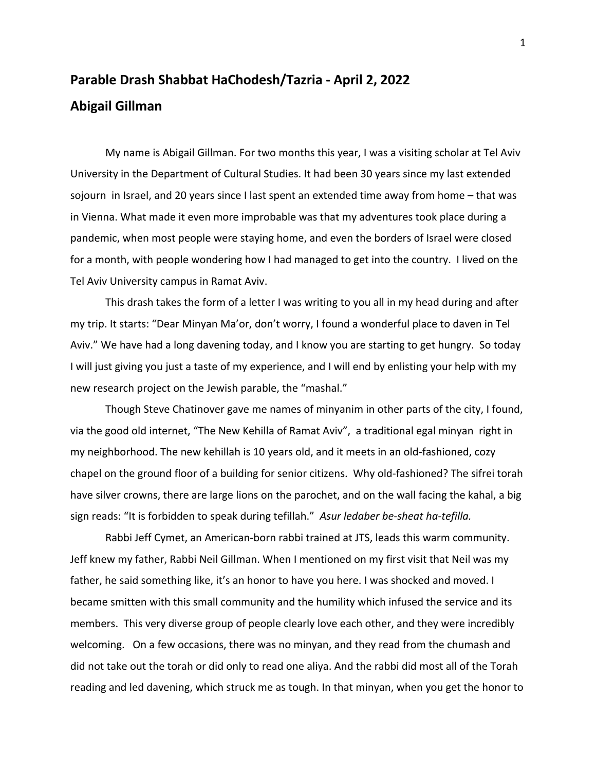## **Parable Drash Shabbat HaChodesh/Tazria - April 2, 2022 Abigail Gillman**

My name is Abigail Gillman. For two months this year, I was a visiting scholar at Tel Aviv University in the Department of Cultural Studies. It had been 30 years since my last extended sojourn in Israel, and 20 years since I last spent an extended time away from home – that was in Vienna. What made it even more improbable was that my adventures took place during a pandemic, when most people were staying home, and even the borders of Israel were closed for a month, with people wondering how I had managed to get into the country. I lived on the Tel Aviv University campus in Ramat Aviv.

This drash takes the form of a letter I was writing to you all in my head during and after my trip. It starts: "Dear Minyan Ma'or, don't worry, I found a wonderful place to daven in Tel Aviv." We have had a long davening today, and I know you are starting to get hungry. So today I will just giving you just a taste of my experience, and I will end by enlisting your help with my new research project on the Jewish parable, the "mashal."

Though Steve Chatinover gave me names of minyanim in other parts of the city, I found, via the good old internet, "The New Kehilla of Ramat Aviv", a traditional egal minyan right in my neighborhood. The new kehillah is 10 years old, and it meets in an old-fashioned, cozy chapel on the ground floor of a building for senior citizens. Why old-fashioned? The sifrei torah have silver crowns, there are large lions on the parochet, and on the wall facing the kahal, a big sign reads: "It is forbidden to speak during tefillah." *Asur ledaber be-sheat ha-tefilla.* 

Rabbi Jeff Cymet, an American-born rabbi trained at JTS, leads this warm community. Jeff knew my father, Rabbi Neil Gillman. When I mentioned on my first visit that Neil was my father, he said something like, it's an honor to have you here. I was shocked and moved. I became smitten with this small community and the humility which infused the service and its members. This very diverse group of people clearly love each other, and they were incredibly welcoming. On a few occasions, there was no minyan, and they read from the chumash and did not take out the torah or did only to read one aliya. And the rabbi did most all of the Torah reading and led davening, which struck me as tough. In that minyan, when you get the honor to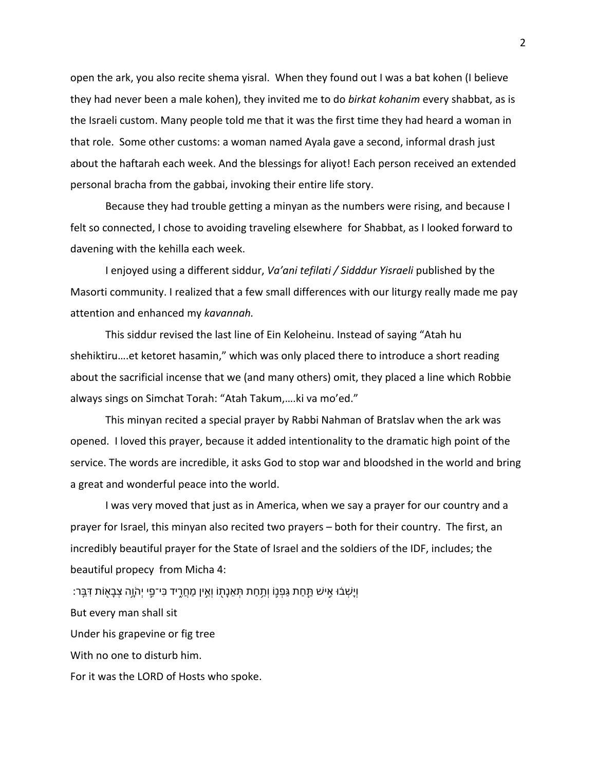open the ark, you also recite shema yisral. When they found out I was a bat kohen (I believe they had never been a male kohen), they invited me to do *birkat kohanim* every shabbat, as is the Israeli custom. Many people told me that it was the first time they had heard a woman in that role. Some other customs: a woman named Ayala gave a second, informal drash just about the haftarah each week. And the blessings for aliyot! Each person received an extended personal bracha from the gabbai, invoking their entire life story.

Because they had trouble getting a minyan as the numbers were rising, and because I felt so connected, I chose to avoiding traveling elsewhere for Shabbat, as I looked forward to davening with the kehilla each week.

I enjoyed using a different siddur, *Va'ani tefilati / Sidddur Yisraeli* published by the Masorti community. I realized that a few small differences with our liturgy really made me pay attention and enhanced my *kavannah.*

This siddur revised the last line of Ein Keloheinu. Instead of saying "Atah hu shehiktiru….et ketoret hasamin," which was only placed there to introduce a short reading about the sacrificial incense that we (and many others) omit, they placed a line which Robbie always sings on Simchat Torah: "Atah Takum,….ki va mo'ed."

This minyan recited a special prayer by Rabbi Nahman of Bratslav when the ark was opened. I loved this prayer, because it added intentionality to the dramatic high point of the service. The words are incredible, it asks God to stop war and bloodshed in the world and bring a great and wonderful peace into the world.

I was very moved that just as in America, when we say a prayer for our country and a prayer for Israel, this minyan also recited two prayers – both for their country. The first, an incredibly beautiful prayer for the State of Israel and the soldiers of the IDF, includes; the beautiful propecy from Micha 4:

ִדּ תוֹ֖אָבְצ הָ֥וֹהְי יִ֛פ־יִכּ דיִ֑רֲחַמ ןיֵ֣אְו וֹ֖תָנֵאְתּ תַחַ֥תְו וֹ֛נְפַגּ תַחַ֧תּ שׁיִ֣א וּ֗בְשָׁיְו ׃רֵֽבּ

But every man shall sit

Under his grapevine or fig tree

With no one to disturb him.

For it was the LORD of Hosts who spoke.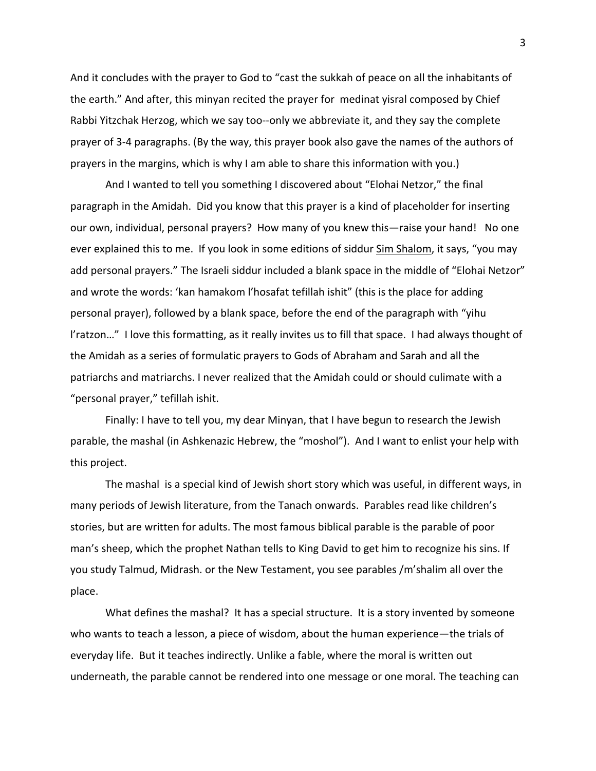And it concludes with the prayer to God to "cast the sukkah of peace on all the inhabitants of the earth." And after, this minyan recited the prayer for medinat yisral composed by Chief Rabbi Yitzchak Herzog, which we say too--only we abbreviate it, and they say the complete prayer of 3-4 paragraphs. (By the way, this prayer book also gave the names of the authors of prayers in the margins, which is why I am able to share this information with you.)

And I wanted to tell you something I discovered about "Elohai Netzor," the final paragraph in the Amidah. Did you know that this prayer is a kind of placeholder for inserting our own, individual, personal prayers? How many of you knew this—raise your hand! No one ever explained this to me. If you look in some editions of siddur Sim Shalom, it says, "you may add personal prayers." The Israeli siddur included a blank space in the middle of "Elohai Netzor" and wrote the words: 'kan hamakom l'hosafat tefillah ishit" (this is the place for adding personal prayer), followed by a blank space, before the end of the paragraph with "yihu l'ratzon…" I love this formatting, as it really invites us to fill that space. I had always thought of the Amidah as a series of formulatic prayers to Gods of Abraham and Sarah and all the patriarchs and matriarchs. I never realized that the Amidah could or should culimate with a "personal prayer," tefillah ishit.

Finally: I have to tell you, my dear Minyan, that I have begun to research the Jewish parable, the mashal (in Ashkenazic Hebrew, the "moshol"). And I want to enlist your help with this project.

The mashal is a special kind of Jewish short story which was useful, in different ways, in many periods of Jewish literature, from the Tanach onwards. Parables read like children's stories, but are written for adults. The most famous biblical parable is the parable of poor man's sheep, which the prophet Nathan tells to King David to get him to recognize his sins. If you study Talmud, Midrash. or the New Testament, you see parables /m'shalim all over the place.

What defines the mashal? It has a special structure. It is a story invented by someone who wants to teach a lesson, a piece of wisdom, about the human experience—the trials of everyday life. But it teaches indirectly. Unlike a fable, where the moral is written out underneath, the parable cannot be rendered into one message or one moral. The teaching can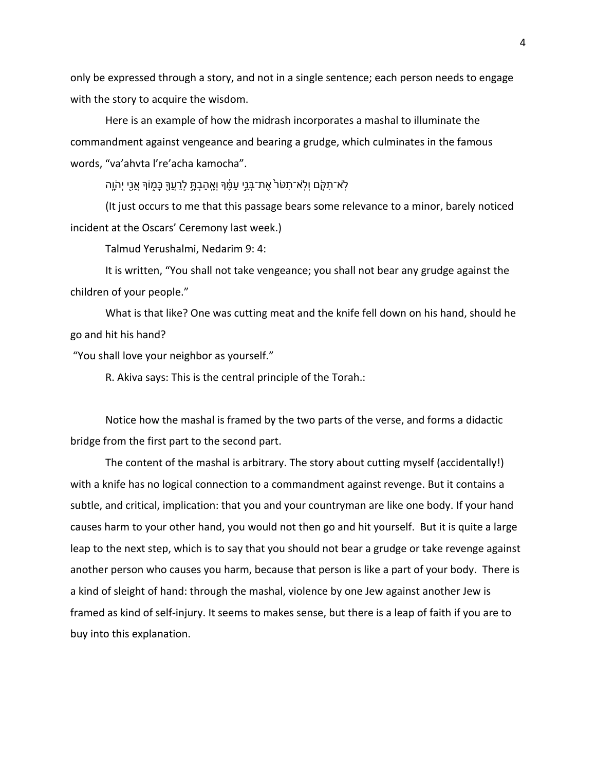only be expressed through a story, and not in a single sentence; each person needs to engage with the story to acquire the wisdom.

Here is an example of how the midrash incorporates a mashal to illuminate the commandment against vengeance and bearing a grudge, which culminates in the famous words, "va'ahvta l're'acha kamocha".

ַלְא־תָקָם וְלָא־תָטֹר אֶת־בְּנֵי עָמֶ֫ךָּ וְאֵהַבְתֵּ לְרֶעֱךָּ כַּמְוֹךָּ אֲנֵי יִהְוֵה

(It just occurs to me that this passage bears some relevance to a minor, barely noticed incident at the Oscars' Ceremony last week.)

Talmud Yerushalmi, Nedarim 9: 4:

It is written, "You shall not take vengeance; you shall not bear any grudge against the children of your people."

What is that like? One was cutting meat and the knife fell down on his hand, should he go and hit his hand?

"You shall love your neighbor as yourself."

R. Akiva says: This is the central principle of the Torah.׃

Notice how the mashal is framed by the two parts of the verse, and forms a didactic bridge from the first part to the second part.

The content of the mashal is arbitrary. The story about cutting myself (accidentally!) with a knife has no logical connection to a commandment against revenge. But it contains a subtle, and critical, implication: that you and your countryman are like one body. If your hand causes harm to your other hand, you would not then go and hit yourself. But it is quite a large leap to the next step, which is to say that you should not bear a grudge or take revenge against another person who causes you harm, because that person is like a part of your body. There is a kind of sleight of hand: through the mashal, violence by one Jew against another Jew is framed as kind of self-injury. It seems to makes sense, but there is a leap of faith if you are to buy into this explanation.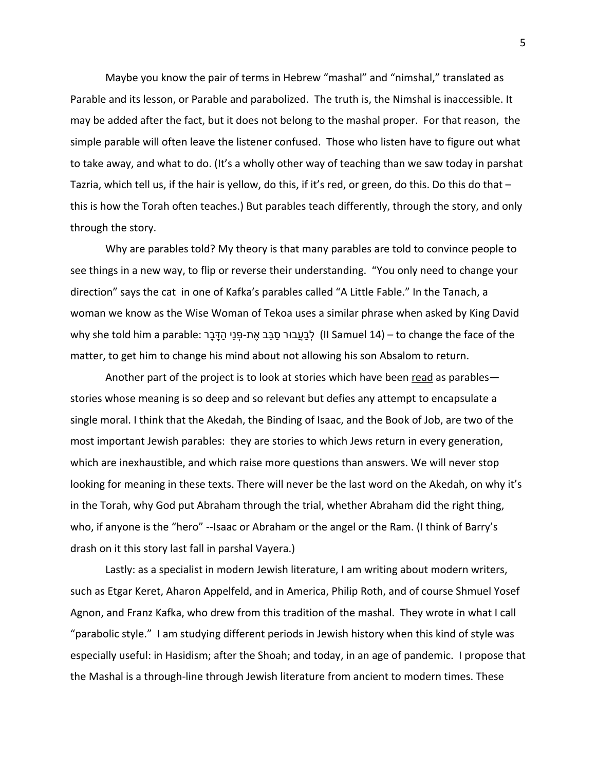Maybe you know the pair of terms in Hebrew "mashal" and "nimshal," translated as Parable and its lesson, or Parable and parabolized. The truth is, the Nimshal is inaccessible. It may be added after the fact, but it does not belong to the mashal proper. For that reason, the simple parable will often leave the listener confused. Those who listen have to figure out what to take away, and what to do. (It's a wholly other way of teaching than we saw today in parshat Tazria, which tell us, if the hair is yellow, do this, if it's red, or green, do this. Do this do that – this is how the Torah often teaches.) But parables teach differently, through the story, and only through the story.

Why are parables told? My theory is that many parables are told to convince people to see things in a new way, to flip or reverse their understanding. "You only need to change your direction" says the cat in one of Kafka's parables called "A Little Fable." In the Tanach, a woman we know as the Wise Woman of Tekoa uses a similar phrase when asked by King David why she told him a parable: לְבַעֲבוּר סַבַּב אֶת-פַּנֵי הַדָּבַר ) (II Samuel 14) – to change the face of the matter, to get him to change his mind about not allowing his son Absalom to return.

Another part of the project is to look at stories which have been read as parables stories whose meaning is so deep and so relevant but defies any attempt to encapsulate a single moral. I think that the Akedah, the Binding of Isaac, and the Book of Job, are two of the most important Jewish parables: they are stories to which Jews return in every generation, which are inexhaustible, and which raise more questions than answers. We will never stop looking for meaning in these texts. There will never be the last word on the Akedah, on why it's in the Torah, why God put Abraham through the trial, whether Abraham did the right thing, who, if anyone is the "hero" --Isaac or Abraham or the angel or the Ram. (I think of Barry's drash on it this story last fall in parshal Vayera.)

Lastly: as a specialist in modern Jewish literature, I am writing about modern writers, such as Etgar Keret, Aharon Appelfeld, and in America, Philip Roth, and of course Shmuel Yosef Agnon, and Franz Kafka, who drew from this tradition of the mashal. They wrote in what I call "parabolic style." I am studying different periods in Jewish history when this kind of style was especially useful: in Hasidism; after the Shoah; and today, in an age of pandemic.I propose that the Mashal is a through-line through Jewish literature from ancient to modern times. These